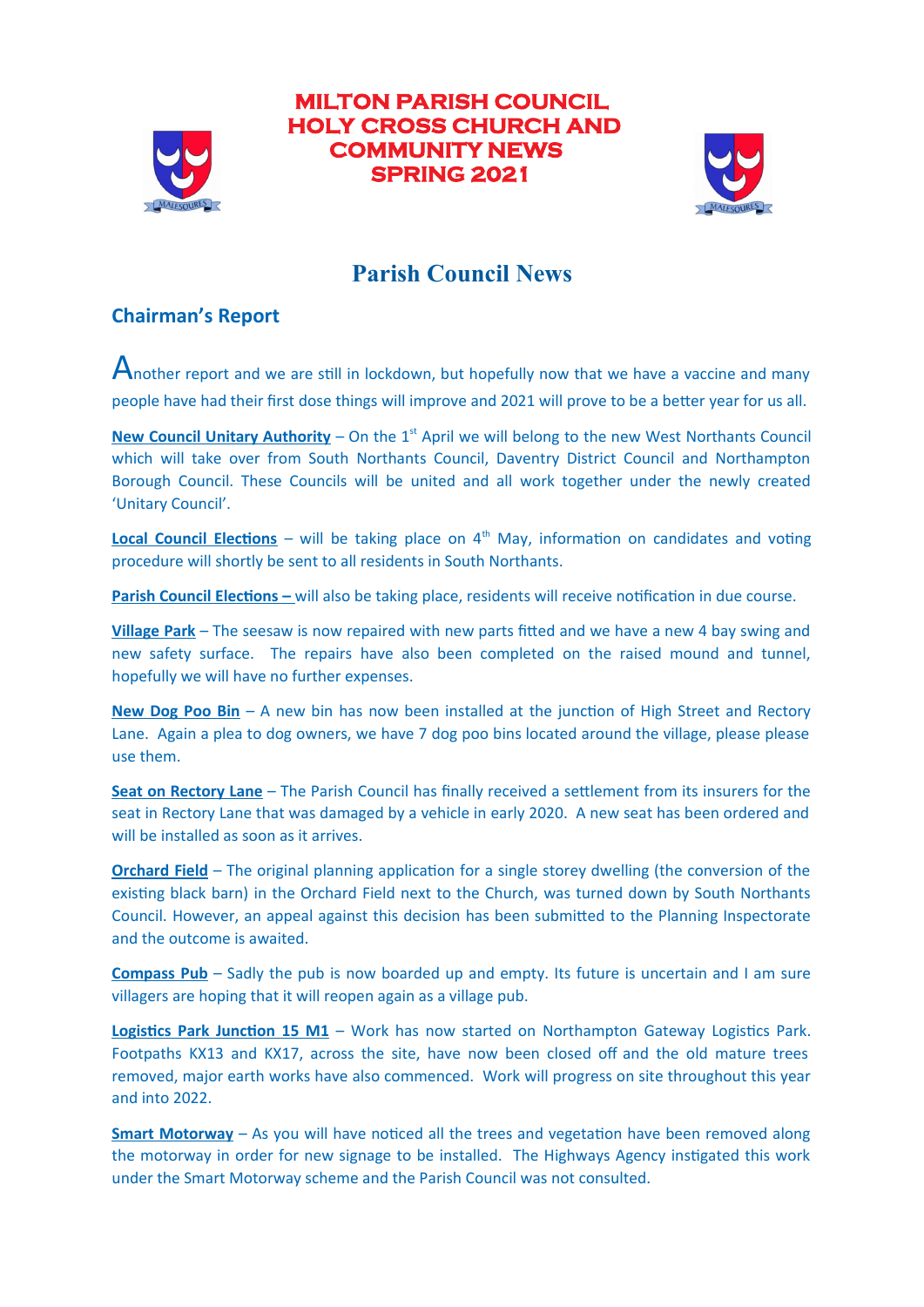

# **MILTON PARISH COUNCIL HOLY CROSS CHURCH AND COMMUNITY NEWS SPRING 2021**



# **Parish Council News**

# **Chairman's Report**

Another report and we are still in lockdown, but hopefully now that we have a vaccine and many people have had their first dose things will improve and 2021 will prove to be a better year for us all.

**New Council Unitary Authority** – On the  $1^{st}$  April we will belong to the new West Northants Council which will take over from South Northants Council, Daventry District Council and Northampton Borough Councii. These Counciis wiii be united and aii work together under the newiy created 'Unitary Council'.

**Local Council Elections** – will be taking place on  $4<sup>th</sup>$  May, information on candidates and voting procedure will shortly be sent to all residents in South Northants.

**Parish Council Elections – will also be taking place, residents will receive notification in due course.** 

**Village Park** – The seesaw is now repaired with new parts fitted and we have a new 4 bay swing and new safety surface. The repairs have aiso been compieted on the raised mound and tunnei, hopefully we will have no further expenses.

New Dog Poo Bin – A new bin has now been installed at the junction of High Street and Rectory Lane. Again a plea to dog owners, we have 7 dog poo bins located around the village, please please use them.

**Seat on Rectory Lane** – The Parish Council has finally received a settlement from its insurers for the seat in Rectory Lane that was damaged by a vehicie in eariy 2020. A new seat has been ordered and will be installed as soon as it arrives.

**Orchard Field** – The original planning application for a single storey dwelling (the conversion of the existng biack barn) in the Orchard Fieid next to the Church, was turned down by South Northants Councii. However, an appeai against this decision has been submited to the Pianning Inspectorate and the outcome is awaited.

**Compass Pub** – Sadly the pub is now boarded up and empty. Its future is uncertain and I am sure villagers are hoping that it will reopen again as a village pub.

**Logistics Park Junction 15 M1** – Work has now started on Northampton Gateway Logistics Park. Footpaths KX13 and KX17, across the site, have now been closed off and the old mature trees removed, major earth works have aiso commenced. Work wiii progress on site throughout this year and into 2022.

**Smart Motorway** – As you will have noticed all the trees and vegetation have been removed along the motorway in order for new signage to be installed. The Highways Agency instigated this work under the Smart Motorway scheme and the Parish Councii was not consuited.